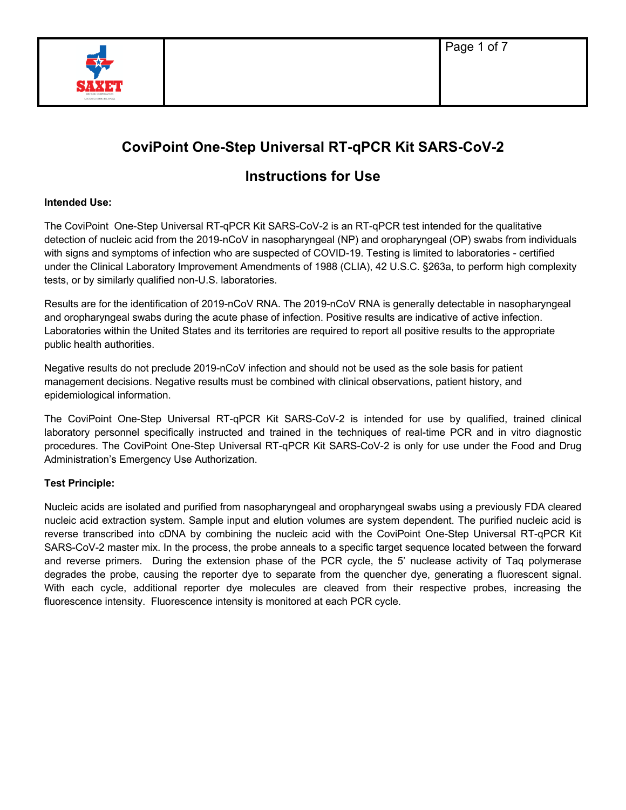

# **CoviPoint One-Step Universal RT-qPCR Kit SARS-CoV-2**

# **Instructions for Use**

# **Intended Use:**

The CoviPoint One-Step Universal RT-qPCR Kit SARS-CoV-2 is an RT-qPCR test intended for the qualitative detection of nucleic acid from the 2019-nCoV in nasopharyngeal (NP) and oropharyngeal (OP) swabs from individuals with signs and symptoms of infection who are suspected of COVID-19. Testing is limited to laboratories - certified under the Clinical Laboratory Improvement Amendments of 1988 (CLIA), 42 U.S.C. §263a, to perform high complexity tests, or by similarly qualified non-U.S. laboratories.

Results are for the identification of 2019-nCoV RNA. The 2019-nCoV RNA is generally detectable in nasopharyngeal and oropharyngeal swabs during the acute phase of infection. Positive results are indicative of active infection. Laboratories within the United States and its territories are required to report all positive results to the appropriate public health authorities.

Negative results do not preclude 2019-nCoV infection and should not be used as the sole basis for patient management decisions. Negative results must be combined with clinical observations, patient history, and epidemiological information.

The CoviPoint One-Step Universal RT-qPCR Kit SARS-CoV-2 is intended for use by qualified, trained clinical laboratory personnel specifically instructed and trained in the techniques of real-time PCR and in vitro diagnostic procedures. The CoviPoint One-Step Universal RT-qPCR Kit SARS-CoV-2 is only for use under the Food and Drug Administration's Emergency Use Authorization.

# **Test Principle:**

Nucleic acids are isolated and purified from nasopharyngeal and oropharyngeal swabs using a previously FDA cleared nucleic acid extraction system. Sample input and elution volumes are system dependent. The purified nucleic acid is reverse transcribed into cDNA by combining the nucleic acid with the CoviPoint One-Step Universal RT-qPCR Kit SARS-CoV-2 master mix. In the process, the probe anneals to a specific target sequence located between the forward and reverse primers. During the extension phase of the PCR cycle, the 5' nuclease activity of Taq polymerase degrades the probe, causing the reporter dye to separate from the quencher dye, generating a fluorescent signal. With each cycle, additional reporter dye molecules are cleaved from their respective probes, increasing the fluorescence intensity. Fluorescence intensity is monitored at each PCR cycle.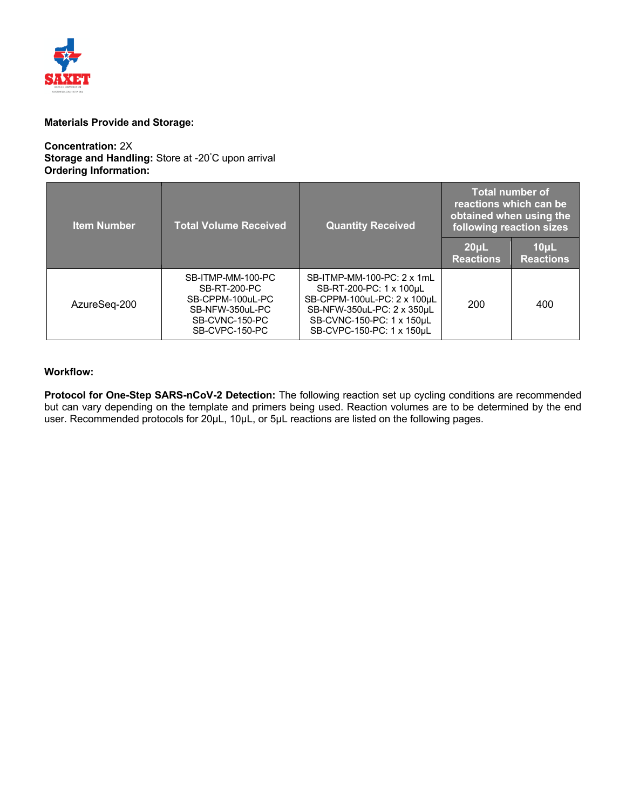

### **Materials Provide and Storage:**

#### **Concentration:** 2X **Storage and Handling:** Store at -20° C upon arrival **Ordering Information:**

| <b>Item Number</b> | <b>Total Volume Received</b><br><b>Quantity Received</b>                                                            |                                                                                                                                                                              | <b>Total number of</b><br>reactions which can be<br>obtained when using the<br>following reaction sizes |                               |
|--------------------|---------------------------------------------------------------------------------------------------------------------|------------------------------------------------------------------------------------------------------------------------------------------------------------------------------|---------------------------------------------------------------------------------------------------------|-------------------------------|
|                    |                                                                                                                     |                                                                                                                                                                              | 20 <sub>µ</sub><br><b>Reactions</b>                                                                     | $10\mu$ L<br><b>Reactions</b> |
| AzureSeq-200       | SB-ITMP-MM-100-PC<br><b>SB-RT-200-PC</b><br>SB-CPPM-100uL-PC<br>SB-NFW-350uL-PC<br>SB-CVNC-150-PC<br>SB-CVPC-150-PC | SB-ITMP-MM-100-PC: 2 x 1mL<br>SB-RT-200-PC: 1 x 100uL<br>SB-CPPM-100uL-PC: 2 x 100µL<br>SB-NFW-350uL-PC: 2 x 350uL<br>SB-CVNC-150-PC: 1 x 150µL<br>SB-CVPC-150-PC: 1 x 150uL | 200                                                                                                     | 400                           |

# **Workflow:**

**Protocol for One-Step SARS-nCoV-2 Detection:** The following reaction set up cycling conditions are recommended but can vary depending on the template and primers being used. Reaction volumes are to be determined by the end user. Recommended protocols for 20µL, 10µL, or 5µL reactions are listed on the following pages.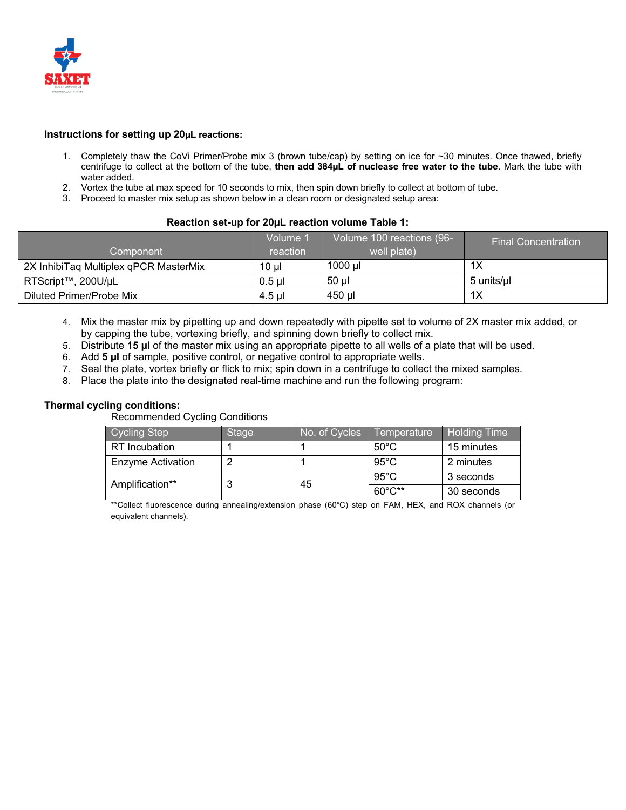

#### **Instructions for setting up 20µL reactions:**

- 1. Completely thaw the CoVi Primer/Probe mix 3 (brown tube/cap) by setting on ice for ~30 minutes. Once thawed, briefly centrifuge to collect at the bottom of the tube, **then add 384µL of nuclease free water to the tube**. Mark the tube with water added.
- 2. Vortex the tube at max speed for 10 seconds to mix, then spin down briefly to collect at bottom of tube.
- 3. Proceed to master mix setup as shown below in a clean room or designated setup area:

#### **Reaction set-up for 20µL reaction volume Table 1:**

| Component                             | Volume '<br>reaction | Volume 100 reactions (96-<br>well plate) | ' Final Concentration. |
|---------------------------------------|----------------------|------------------------------------------|------------------------|
| 2X InhibiTag Multiplex gPCR MasterMix | $10 \mu$             | 1000 ul                                  | 1X                     |
| RTScript™, 200U/µL                    | $0.5$ ul             | 50 µl                                    | 5 units/ul             |
| Diluted Primer/Probe Mix              | 4.5 ul               | 450 µl                                   | 1X                     |

- 4. Mix the master mix by pipetting up and down repeatedly with pipette set to volume of 2X master mix added, or by capping the tube, vortexing briefly, and spinning down briefly to collect mix.
- 5. Distribute **15 µl** of the master mix using an appropriate pipette to all wells of a plate that will be used.
- 6. Add **5 µl** of sample, positive control, or negative control to appropriate wells.
- 7. Seal the plate, vortex briefly or flick to mix; spin down in a centrifuge to collect the mixed samples.
- 8. Place the plate into the designated real-time machine and run the following program:

# **Thermal cycling conditions:**

Recommended Cycling Conditions

| Cycling Step             | <b>Stage</b> | No. of Cycles | Temperature      | <b>Holding Time</b> |
|--------------------------|--------------|---------------|------------------|---------------------|
| RT Incubation            |              |               | $50^{\circ}$ C   | 15 minutes          |
| <b>Enzyme Activation</b> |              |               | $95^{\circ}$ C   | 2 minutes           |
| Amplification**          | 3            | 45            | $95^{\circ}$ C   | 3 seconds           |
|                          |              |               | $60^{\circ}$ C** | 30 seconds          |

\*\*Collect fluorescence during annealing/extension phase (60°C) step on FAM, HEX, and ROX channels (or equivalent channels).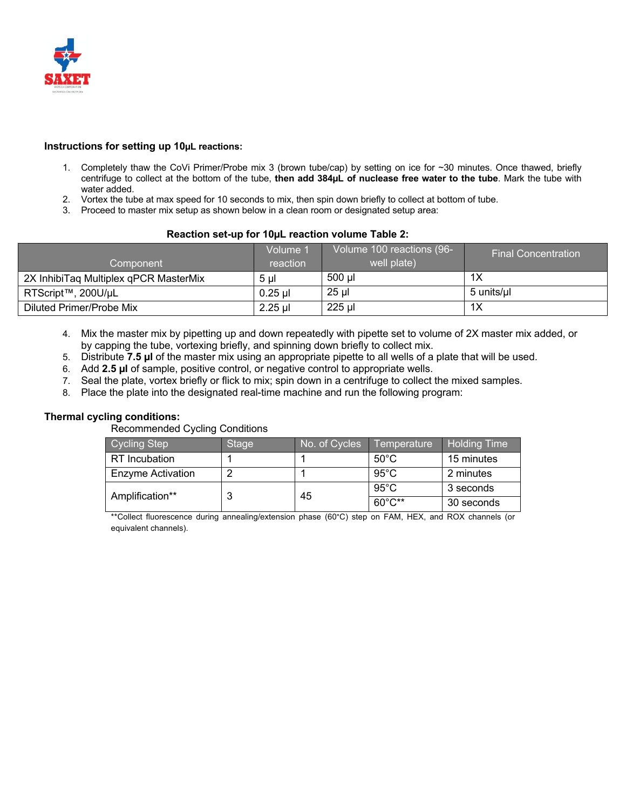

#### **Instructions for setting up 10µL reactions:**

- 1. Completely thaw the CoVi Primer/Probe mix 3 (brown tube/cap) by setting on ice for ~30 minutes. Once thawed, briefly centrifuge to collect at the bottom of the tube, **then add 384µL of nuclease free water to the tube**. Mark the tube with water added.
- 2. Vortex the tube at max speed for 10 seconds to mix, then spin down briefly to collect at bottom of tube.
- 3. Proceed to master mix setup as shown below in a clean room or designated setup area:

#### **Reaction set-up for 10µL reaction volume Table 2:**

|                                       | Volume '  | Volume 100 reactions (96- | <b>Final Concentration</b> |
|---------------------------------------|-----------|---------------------------|----------------------------|
| Component                             | reaction  | well plate)               |                            |
| 2X InhibiTag Multiplex gPCR MasterMix | 5 ul      | 500 µl                    | 1X                         |
| RTScript™, 200U/µL                    | $0.25$ µl | $25$ µl                   | 5 units/ul                 |
| Diluted Primer/Probe Mix              | $2.25$ µl | 225 µl                    | 1X                         |

- 4. Mix the master mix by pipetting up and down repeatedly with pipette set to volume of 2X master mix added, or by capping the tube, vortexing briefly, and spinning down briefly to collect mix.
- 5. Distribute **7.5 µl** of the master mix using an appropriate pipette to all wells of a plate that will be used.
- 6. Add **2.5 µl** of sample, positive control, or negative control to appropriate wells.
- 7. Seal the plate, vortex briefly or flick to mix; spin down in a centrifuge to collect the mixed samples.
- 8. Place the plate into the designated real-time machine and run the following program:

#### **Thermal cycling conditions:**

Recommended Cycling Conditions

| Cycling Step             | Stage | No. of Cycles | Temperature    | <b>Holding Time</b> |
|--------------------------|-------|---------------|----------------|---------------------|
| <b>RT</b> Incubation     |       |               | $50^{\circ}$ C | 15 minutes          |
| <b>Enzyme Activation</b> |       |               | $95^{\circ}$ C | 2 minutes           |
| Amplification**          |       | 45            | $95^{\circ}$ C | 3 seconds           |
|                          | w     |               | 60°C**         | 30 seconds          |

\*\*Collect fluorescence during annealing/extension phase (60°C) step on FAM, HEX, and ROX channels (or equivalent channels).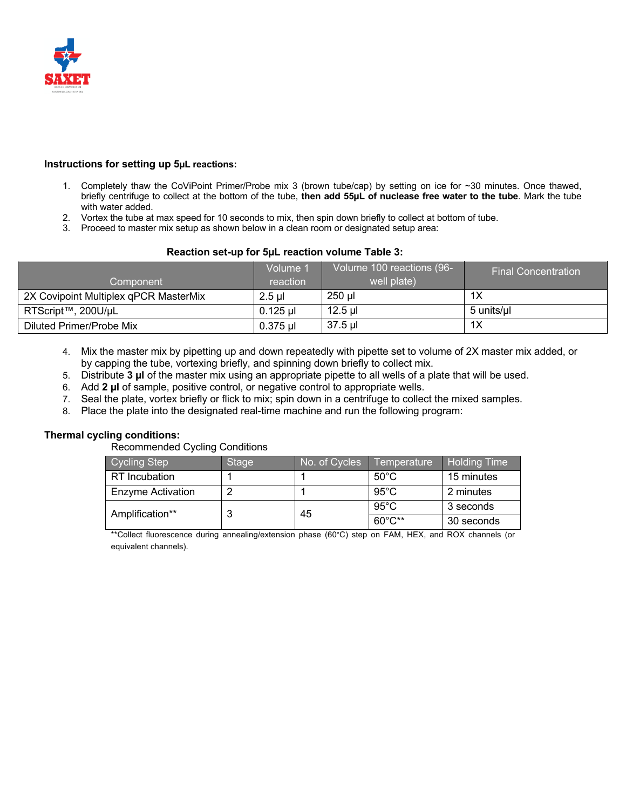

#### **Instructions for setting up 5µL reactions:**

- 1. Completely thaw the CoViPoint Primer/Probe mix 3 (brown tube/cap) by setting on ice for ~30 minutes. Once thawed, briefly centrifuge to collect at the bottom of the tube, **then add 55µL of nuclease free water to the tube**. Mark the tube with water added.
- 2. Vortex the tube at max speed for 10 seconds to mix, then spin down briefly to collect at bottom of tube.
- 3. Proceed to master mix setup as shown below in a clean room or designated setup area:

# **Reaction set-up for 5µL reaction volume Table 3:**

|                                       | Volume 1   | Volume 100 reactions (96- | / Final Concentration⊥ |
|---------------------------------------|------------|---------------------------|------------------------|
| Component                             | reaction   | well plate)               |                        |
| 2X Covipoint Multiplex qPCR MasterMix | $2.5$ ul   | $250$ µl                  | 1X                     |
| RTScript™, 200U/µL                    | $0.125$ µl | $12.5$ µl                 | 5 units/µl             |
| Diluted Primer/Probe Mix              | $0.375$ µl | 37.5 ul                   | 1X                     |

- 4. Mix the master mix by pipetting up and down repeatedly with pipette set to volume of 2X master mix added, or by capping the tube, vortexing briefly, and spinning down briefly to collect mix.
- 5. Distribute **3 µl** of the master mix using an appropriate pipette to all wells of a plate that will be used.
- 6. Add **2 µl** of sample, positive control, or negative control to appropriate wells.
- 7. Seal the plate, vortex briefly or flick to mix; spin down in a centrifuge to collect the mixed samples.
- 8. Place the plate into the designated real-time machine and run the following program:

# **Thermal cycling conditions:**

Recommended Cycling Conditions

| <b>Cycling Step</b>      | Stage  | No. of Cycles | Temperature      | <b>Holding Time</b> |
|--------------------------|--------|---------------|------------------|---------------------|
| RT Incubation            |        |               | $50^{\circ}$ C   | 15 minutes          |
| <b>Enzyme Activation</b> |        |               | $95^{\circ}$ C   | 2 minutes           |
| Amplification**          | ≏<br>w | 45            | $95^{\circ}$ C   | 3 seconds           |
|                          |        |               | $60^{\circ}$ C** | 30 seconds          |

\*\*Collect fluorescence during annealing/extension phase (60°C) step on FAM, HEX, and ROX channels (or equivalent channels).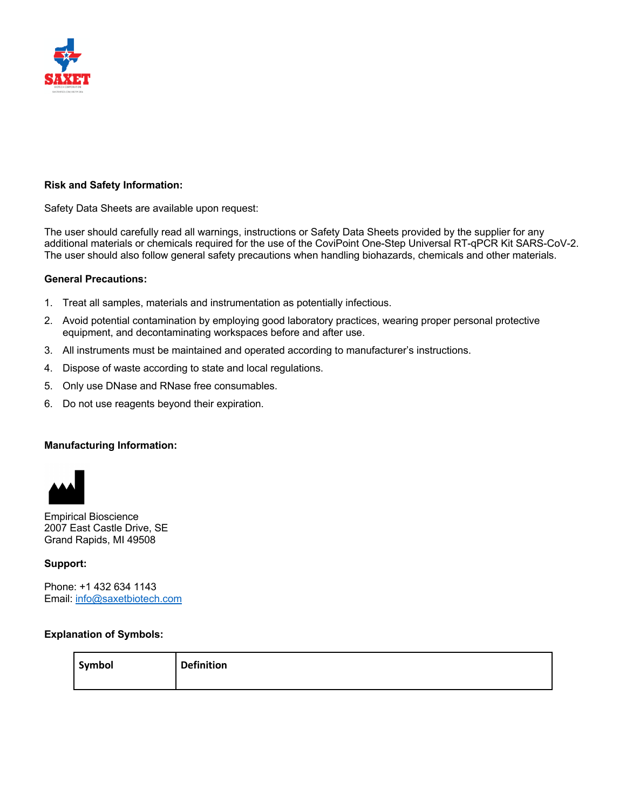

# **Risk and Safety Information:**

Safety Data Sheets are available upon request:

The user should carefully read all warnings, instructions or Safety Data Sheets provided by the supplier for any additional materials or chemicals required for the use of the CoviPoint One-Step Universal RT-qPCR Kit SARS-CoV-2. The user should also follow general safety precautions when handling biohazards, chemicals and other materials.

### **General Precautions:**

- 1. Treat all samples, materials and instrumentation as potentially infectious.
- 2. Avoid potential contamination by employing good laboratory practices, wearing proper personal protective equipment, and decontaminating workspaces before and after use.
- 3. All instruments must be maintained and operated according to manufacturer's instructions.
- 4. Dispose of waste according to state and local regulations.
- 5. Only use DNase and RNase free consumables.
- 6. Do not use reagents beyond their expiration.

#### **Manufacturing Information:**



Empirical Bioscience 2007 East Castle Drive, SE Grand Rapids, MI 49508

#### **Support:**

Phone: +1 432 634 1143 Email: info@saxetbiotech.com

#### **Explanation of Symbols:**

| Symbol | <b>Definition</b> |
|--------|-------------------|
|        |                   |